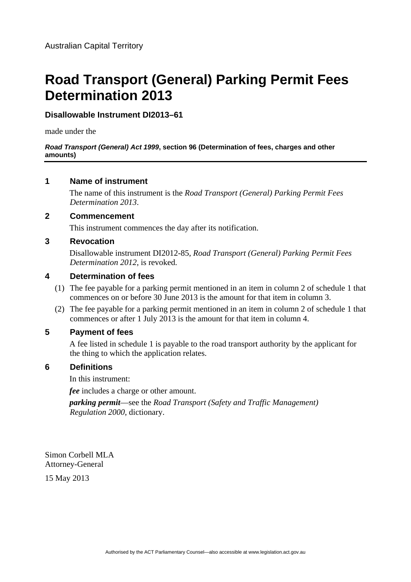# **Road Transport (General) Parking Permit Fees Determination 2013**

## **Disallowable Instrument DI2013–61**

made under the

#### *Road Transport (General) Act 1999***, section 96 (Determination of fees, charges and other amounts)**

#### **1 Name of instrument**

The name of this instrument is the *Road Transport (General) Parking Permit Fees Determination 2013*.

#### **2 Commencement**

This instrument commences the day after its notification.

### **3 Revocation**

Disallowable instrument DI2012-85, *Road Transport (General) Parking Permit Fees Determination 2012*, is revoked.

#### **4 Determination of fees**

- (1) The fee payable for a parking permit mentioned in an item in column 2 of schedule 1 that commences on or before 30 June 2013 is the amount for that item in column 3.
- (2) The fee payable for a parking permit mentioned in an item in column 2 of schedule 1 that commences or after 1 July 2013 is the amount for that item in column 4.

#### **5 Payment of fees**

A fee listed in schedule 1 is payable to the road transport authority by the applicant for the thing to which the application relates.

### **6 Definitions**

In this instrument:

*fee* includes a charge or other amount.

*parking permit*—see the *Road Transport (Safety and Traffic Management) Regulation 2000*, dictionary.

Simon Corbell MLA Attorney-General

15 May 2013